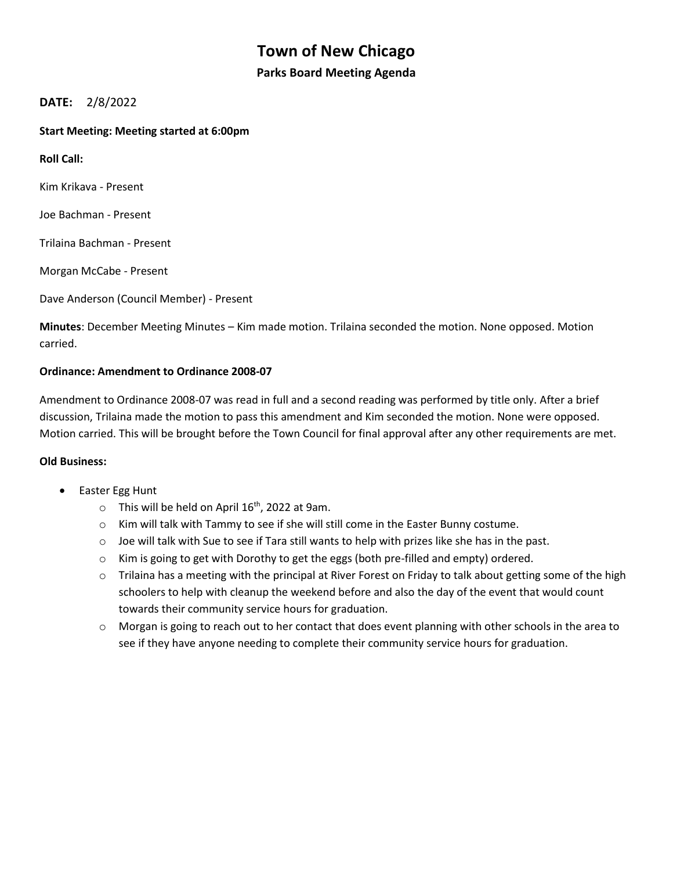# **Town of New Chicago**

### **Parks Board Meeting Agenda**

## **DATE:** 2/8/2022

#### **Start Meeting: Meeting started at 6:00pm**

**Roll Call:** 

Kim Krikava - Present

Joe Bachman - Present

Trilaina Bachman - Present

Morgan McCabe - Present

Dave Anderson (Council Member) - Present

**Minutes**: December Meeting Minutes – Kim made motion. Trilaina seconded the motion. None opposed. Motion carried.

#### **Ordinance: Amendment to Ordinance 2008-07**

Amendment to Ordinance 2008-07 was read in full and a second reading was performed by title only. After a brief discussion, Trilaina made the motion to pass this amendment and Kim seconded the motion. None were opposed. Motion carried. This will be brought before the Town Council for final approval after any other requirements are met.

#### **Old Business:**

- Easter Egg Hunt
	- $\circ$  This will be held on April 16<sup>th</sup>, 2022 at 9am.
	- $\circ$  Kim will talk with Tammy to see if she will still come in the Easter Bunny costume.
	- $\circ$  Joe will talk with Sue to see if Tara still wants to help with prizes like she has in the past.
	- $\circ$  Kim is going to get with Dorothy to get the eggs (both pre-filled and empty) ordered.
	- $\circ$  Trilaina has a meeting with the principal at River Forest on Friday to talk about getting some of the high schoolers to help with cleanup the weekend before and also the day of the event that would count towards their community service hours for graduation.
	- o Morgan is going to reach out to her contact that does event planning with other schools in the area to see if they have anyone needing to complete their community service hours for graduation.